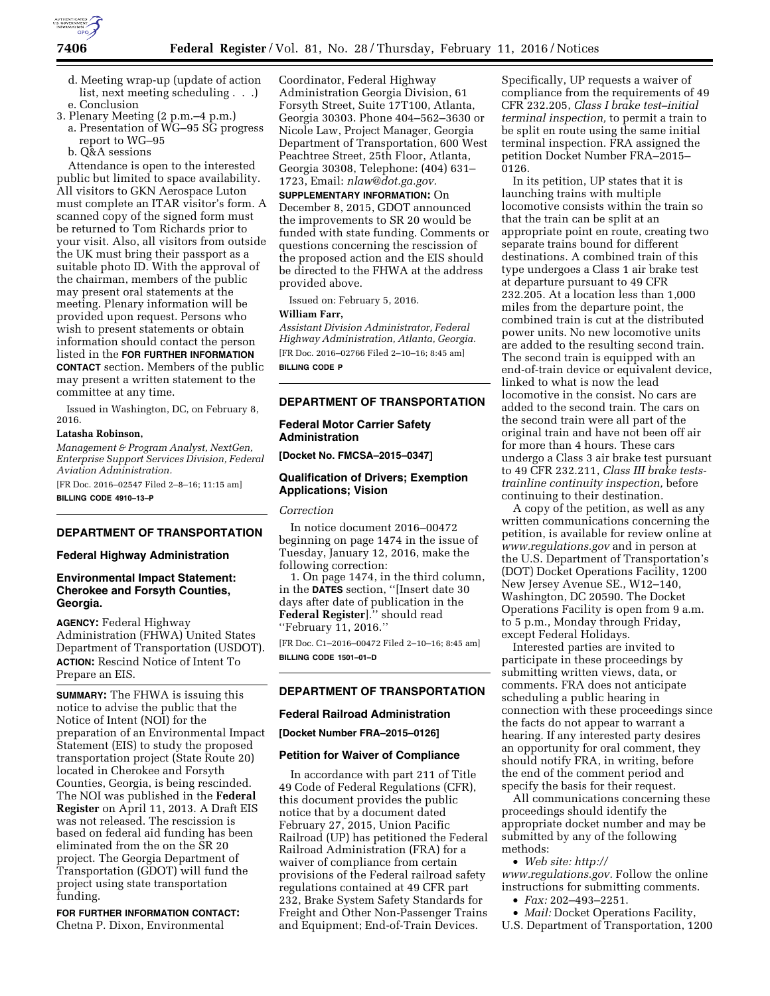

- d. Meeting wrap-up (update of action list, next meeting scheduling . . .) e. Conclusion
- 3. Plenary Meeting (2 p.m.–4 p.m.)
- a. Presentation of WG–95 SG progress report to WG–95
- b. Q&A sessions

Attendance is open to the interested public but limited to space availability. All visitors to GKN Aerospace Luton must complete an ITAR visitor's form. A scanned copy of the signed form must be returned to Tom Richards prior to your visit. Also, all visitors from outside the UK must bring their passport as a suitable photo ID. With the approval of the chairman, members of the public may present oral statements at the meeting. Plenary information will be provided upon request. Persons who wish to present statements or obtain information should contact the person listed in the **FOR FURTHER INFORMATION CONTACT** section. Members of the public may present a written statement to the committee at any time.

Issued in Washington, DC, on February 8, 2016.

## **Latasha Robinson,**

*Management & Program Analyst, NextGen, Enterprise Support Services Division, Federal Aviation Administration.* 

[FR Doc. 2016–02547 Filed 2–8–16; 11:15 am] **BILLING CODE 4910–13–P** 

### **DEPARTMENT OF TRANSPORTATION**

#### **Federal Highway Administration**

## **Environmental Impact Statement: Cherokee and Forsyth Counties, Georgia.**

**AGENCY:** Federal Highway Administration (FHWA) United States Department of Transportation (USDOT). **ACTION:** Rescind Notice of Intent To Prepare an EIS.

**SUMMARY:** The FHWA is issuing this notice to advise the public that the Notice of Intent (NOI) for the preparation of an Environmental Impact Statement (EIS) to study the proposed transportation project (State Route 20) located in Cherokee and Forsyth Counties, Georgia, is being rescinded. The NOI was published in the **Federal Register** on April 11, 2013. A Draft EIS was not released. The rescission is based on federal aid funding has been eliminated from the on the SR 20 project. The Georgia Department of Transportation (GDOT) will fund the project using state transportation funding.

**FOR FURTHER INFORMATION CONTACT:**  Chetna P. Dixon, Environmental

Coordinator, Federal Highway Administration Georgia Division, 61 Forsyth Street, Suite 17T100, Atlanta, Georgia 30303. Phone 404–562–3630 or Nicole Law, Project Manager, Georgia Department of Transportation, 600 West Peachtree Street, 25th Floor, Atlanta, Georgia 30308, Telephone: (404) 631– 1723, Email: *[nlaw@dot.ga.gov.](mailto:nlaw@dot.ga.gov)* 

**SUPPLEMENTARY INFORMATION:** On December 8, 2015, GDOT announced the improvements to SR 20 would be funded with state funding. Comments or questions concerning the rescission of the proposed action and the EIS should be directed to the FHWA at the address provided above.

Issued on: February 5, 2016.

#### **William Farr,**

*Assistant Division Administrator, Federal Highway Administration, Atlanta, Georgia.*  [FR Doc. 2016–02766 Filed 2–10–16; 8:45 am] **BILLING CODE P** 

## **DEPARTMENT OF TRANSPORTATION**

# **Federal Motor Carrier Safety Administration**

**[Docket No. FMCSA–2015–0347]** 

## **Qualification of Drivers; Exemption Applications; Vision**

## *Correction*

In notice document 2016–00472 beginning on page 1474 in the issue of Tuesday, January 12, 2016, make the following correction:

1. On page 1474, in the third column, in the **DATES** section, ''[Insert date 30 days after date of publication in the **Federal Register**].'' should read ''February 11, 2016.''

[FR Doc. C1–2016–00472 Filed 2–10–16; 8:45 am] **BILLING CODE 1501–01–D** 

# **DEPARTMENT OF TRANSPORTATION**

#### **Federal Railroad Administration**

**[Docket Number FRA–2015–0126]** 

#### **Petition for Waiver of Compliance**

In accordance with part 211 of Title 49 Code of Federal Regulations (CFR), this document provides the public notice that by a document dated February 27, 2015, Union Pacific Railroad (UP) has petitioned the Federal Railroad Administration (FRA) for a waiver of compliance from certain provisions of the Federal railroad safety regulations contained at 49 CFR part 232, Brake System Safety Standards for Freight and Other Non-Passenger Trains and Equipment; End-of-Train Devices.

Specifically, UP requests a waiver of compliance from the requirements of 49 CFR 232.205, *Class I brake test–initial terminal inspection,* to permit a train to be split en route using the same initial terminal inspection. FRA assigned the petition Docket Number FRA–2015– 0126.

In its petition, UP states that it is launching trains with multiple locomotive consists within the train so that the train can be split at an appropriate point en route, creating two separate trains bound for different destinations. A combined train of this type undergoes a Class 1 air brake test at departure pursuant to 49 CFR 232.205. At a location less than 1,000 miles from the departure point, the combined train is cut at the distributed power units. No new locomotive units are added to the resulting second train. The second train is equipped with an end-of-train device or equivalent device, linked to what is now the lead locomotive in the consist. No cars are added to the second train. The cars on the second train were all part of the original train and have not been off air for more than 4 hours. These cars undergo a Class 3 air brake test pursuant to 49 CFR 232.211, *Class III brake teststrainline continuity inspection,* before continuing to their destination.

A copy of the petition, as well as any written communications concerning the petition, is available for review online at *[www.regulations.gov](http://www.regulations.gov)* and in person at the U.S. Department of Transportation's (DOT) Docket Operations Facility, 1200 New Jersey Avenue SE., W12–140, Washington, DC 20590. The Docket Operations Facility is open from 9 a.m. to 5 p.m., Monday through Friday, except Federal Holidays.

Interested parties are invited to participate in these proceedings by submitting written views, data, or comments. FRA does not anticipate scheduling a public hearing in connection with these proceedings since the facts do not appear to warrant a hearing. If any interested party desires an opportunity for oral comment, they should notify FRA, in writing, before the end of the comment period and specify the basis for their request.

All communications concerning these proceedings should identify the appropriate docket number and may be submitted by any of the following methods:

• *Web site: [http://](http://www.regulations.gov)*

*[www.regulations.gov.](http://www.regulations.gov)* Follow the online instructions for submitting comments.

• *Fax:* 202–493–2251.

• *Mail:* Docket Operations Facility, U.S. Department of Transportation, 1200